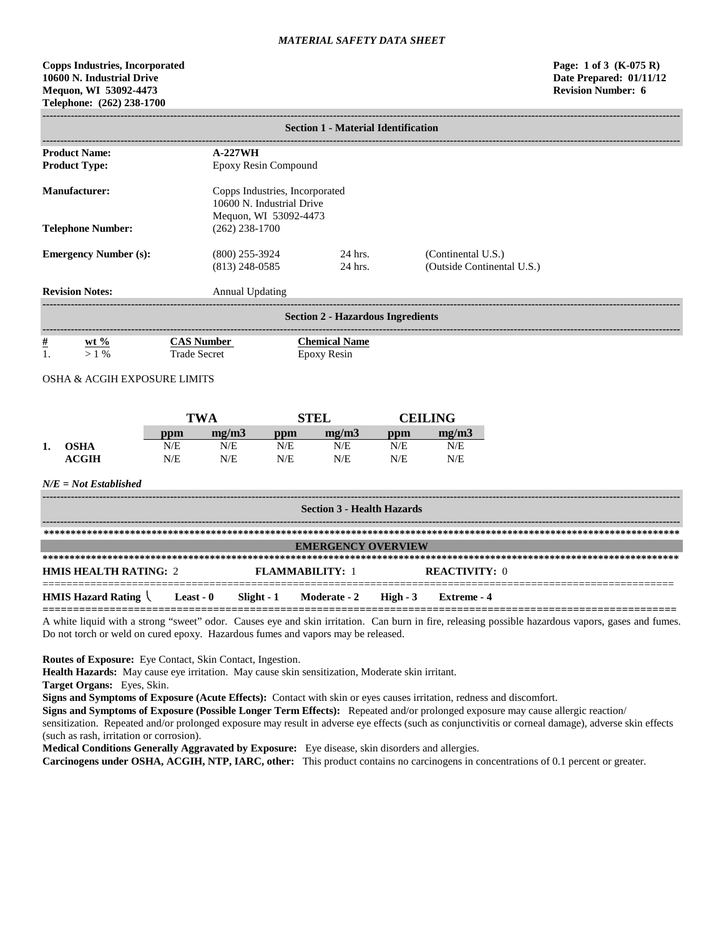# **Copps Industries, Incorporated Page: 1 of 3 (K-075 R) 10600 N. Industrial Drive Date Prepared: 01/11/12 Mequon, WI 53092-4473 Revision Number: 6 Telephone: (262) 238-1700**

|                                                            |                                        |                                                                                      |                 | <b>Section 1 - Material Identification</b> |            |                                                  |                                                                                                                                                   |  |
|------------------------------------------------------------|----------------------------------------|--------------------------------------------------------------------------------------|-----------------|--------------------------------------------|------------|--------------------------------------------------|---------------------------------------------------------------------------------------------------------------------------------------------------|--|
| <b>Product Name:</b><br><b>Product Type:</b>               |                                        | $A-227WH$<br>Epoxy Resin Compound                                                    |                 |                                            |            |                                                  |                                                                                                                                                   |  |
| <b>Manufacturer:</b>                                       |                                        | Copps Industries, Incorporated<br>10600 N. Industrial Drive<br>Mequon, WI 53092-4473 |                 |                                            |            |                                                  |                                                                                                                                                   |  |
| <b>Telephone Number:</b>                                   |                                        | $(262)$ 238-1700                                                                     |                 |                                            |            |                                                  |                                                                                                                                                   |  |
| <b>Emergency Number (s):</b>                               |                                        | $(800)$ 255-3924<br>$(813)$ 248-0585                                                 |                 | 24 hrs.<br>24 hrs.                         |            | (Continental U.S.)<br>(Outside Continental U.S.) |                                                                                                                                                   |  |
| <b>Revision Notes:</b>                                     | -------------------------------------- | <b>Annual Updating</b>                                                               |                 |                                            |            |                                                  |                                                                                                                                                   |  |
|                                                            |                                        |                                                                                      |                 | <b>Section 2 - Hazardous Ingredients</b>   |            |                                                  |                                                                                                                                                   |  |
| <u>#</u><br>wt $\%$<br>1.<br>$>1\%$                        | <b>Trade Secret</b>                    | <b>CAS Number</b>                                                                    |                 | <b>Chemical Name</b><br>Epoxy Resin        |            |                                                  |                                                                                                                                                   |  |
| OSHA & ACGIH EXPOSURE LIMITS                               |                                        |                                                                                      |                 |                                            |            |                                                  |                                                                                                                                                   |  |
|                                                            |                                        | <b>TWA</b>                                                                           |                 | <b>STEL</b>                                |            | <b>CEILING</b>                                   |                                                                                                                                                   |  |
|                                                            | ppm                                    | mg/m3                                                                                | ppm             | mg/m3                                      | ppm        | mg/m3                                            |                                                                                                                                                   |  |
| <b>OSHA</b><br>1.<br><b>ACGIH</b>                          | N/E<br>N/E                             | N/E<br>N/E                                                                           | N/E<br>N/E      | N/E<br>N/E                                 | N/E<br>N/E | N/E<br>N/E                                       |                                                                                                                                                   |  |
| $N/E = Not$ Established                                    |                                        |                                                                                      |                 |                                            |            |                                                  |                                                                                                                                                   |  |
|                                                            |                                        |                                                                                      |                 | <b>Section 3 - Health Hazards</b>          |            |                                                  |                                                                                                                                                   |  |
|                                                            |                                        |                                                                                      |                 |                                            |            |                                                  |                                                                                                                                                   |  |
|                                                            |                                        |                                                                                      |                 | <b>EMERGENCY OVERVIEW</b>                  |            |                                                  |                                                                                                                                                   |  |
| <b>HMIS HEALTH RATING: 2</b>                               |                                        |                                                                                      | FLAMMABILITY: 1 |                                            |            | <b>REACTIVITY: 0</b>                             |                                                                                                                                                   |  |
| <b>HMIS Hazard Rating <math>\setminus</math> Least - 0</b> |                                        |                                                                                      | Slight - 1      | Moderate - 2                               | High $-3$  | Extreme - 4                                      |                                                                                                                                                   |  |
|                                                            |                                        |                                                                                      |                 |                                            |            |                                                  | A white liquid with a strong "sweet" odor. Causes eye and skin irritation. Can burn in fire, releasing possible hazardous vapors, gases and fumes |  |

A white liquid with a strong "sweet" odor. Causes eye and skin irritation. Can burn in fire, releasing possible hazardous vapors, gases and fumes. Do not torch or weld on cured epoxy. Hazardous fumes and vapors may be released.

**Routes of Exposure:** Eye Contact, Skin Contact, Ingestion.

**Health Hazards:** May cause eye irritation. May cause skin sensitization, Moderate skin irritant.

**Target Organs:** Eyes, Skin.

**Signs and Symptoms of Exposure (Acute Effects):** Contact with skin or eyes causes irritation, redness and discomfort.

**Signs and Symptoms of Exposure (Possible Longer Term Effects):** Repeated and/or prolonged exposure may cause allergic reaction/

sensitization. Repeated and/or prolonged exposure may result in adverse eye effects (such as conjunctivitis or corneal damage), adverse skin effects (such as rash, irritation or corrosion).

**Medical Conditions Generally Aggravated by Exposure:** Eye disease, skin disorders and allergies.

**Carcinogens under OSHA, ACGIH, NTP, IARC, other:** This product contains no carcinogens in concentrations of 0.1 percent or greater.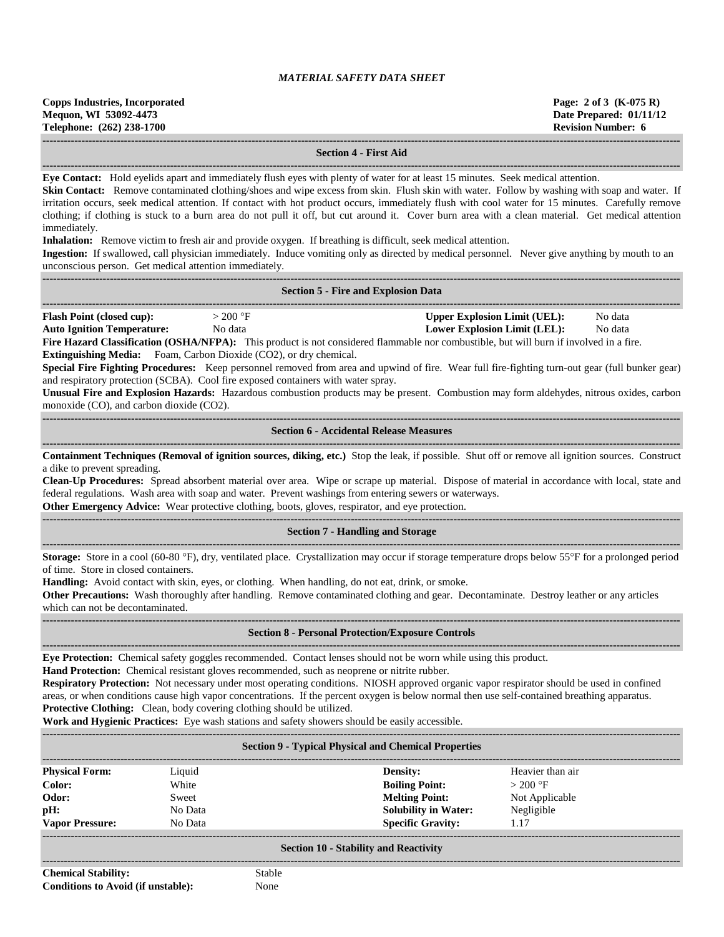| Copps Industries, Incorporated<br>Mequon, WI 53092-4473 | Page: 2 of 3 $(K-075 R)$<br>Date Prepared: 01/11/12 |
|---------------------------------------------------------|-----------------------------------------------------|
| Telephone: (262) 238-1700                               | Revision Number: 6                                  |
|                                                         |                                                     |

#### **Section 4 - First Aid**

**------------------------------------------------------------------------------------------------------------------------------------------------------------------------------------ Eye Contact:** Hold eyelids apart and immediately flush eyes with plenty of water for at least 15 minutes. Seek medical attention.

**Skin Contact:** Remove contaminated clothing/shoes and wipe excess from skin. Flush skin with water. Follow by washing with soap and water. If irritation occurs, seek medical attention. If contact with hot product occurs, immediately flush with cool water for 15 minutes. Carefully remove clothing; if clothing is stuck to a burn area do not pull it off, but cut around it. Cover burn area with a clean material. Get medical attention immediately.

**Inhalation:** Remove victim to fresh air and provide oxygen. If breathing is difficult, seek medical attention.

**Ingestion:** If swallowed, call physician immediately. Induce vomiting only as directed by medical personnel. Never give anything by mouth to an unconscious person. Get medical attention immediately.

|                                   |            | <b>Section 5 - Fire and Explosion Data</b> |         |  |
|-----------------------------------|------------|--------------------------------------------|---------|--|
| <b>Flash Point (closed cup):</b>  | $>$ 200 °F | <b>Upper Explosion Limit (UEL):</b>        | No data |  |
| <b>Auto Ignition Temperature:</b> | No data    | Lower Explosion Limit (LEL):               | No data |  |

**Fire Hazard Classification (OSHA/NFPA):** This product is not considered flammable nor combustible, but will burn if involved in a fire. **Extinguishing Media:** Foam, Carbon Dioxide (CO2), or dry chemical.

**Special Fire Fighting Procedures:** Keep personnel removed from area and upwind of fire. Wear full fire-fighting turn-out gear (full bunker gear) and respiratory protection (SCBA). Cool fire exposed containers with water spray.

**Unusual Fire and Explosion Hazards:** Hazardous combustion products may be present. Combustion may form aldehydes, nitrous oxides, carbon monoxide (CO), and carbon dioxide (CO2).

# $-1-\frac{1}{2}$ **Section 6 - Accidental Release Measures ------------------------------------------------------------------------------------------------------------------------------------------------------------------------------------**

**Containment Techniques (Removal of ignition sources, diking, etc.)** Stop the leak, if possible. Shut off or remove all ignition sources. Construct a dike to prevent spreading.

**Clean-Up Procedures:** Spread absorbent material over area. Wipe or scrape up material. Dispose of material in accordance with local, state and federal regulations. Wash area with soap and water. Prevent washings from entering sewers or waterways.

**Other Emergency Advice:** Wear protective clothing, boots, gloves, respirator, and eye protection.

# ------------------------------------------------------------------------------------------------------------------------------------------------------------------------------------ **Section 7 - Handling and Storage ------------------------------------------------------------------------------------------------------------------------------------------------------------------------------------**

**Storage:** Store in a cool (60-80 °F), dry, ventilated place. Crystallization may occur if storage temperature drops below 55°F for a prolonged period of time. Store in closed containers.

**Handling:** Avoid contact with skin, eyes, or clothing. When handling, do not eat, drink, or smoke.

**Other Precautions:** Wash thoroughly after handling. Remove contaminated clothing and gear. Decontaminate. Destroy leather or any articles which can not be decontaminated.

#### **------------------------------------------------------------------------------------------------------------------------------------------------------------------------------------ Section 8 - Personal Protection/Exposure Controls**

**------------------------------------------------------------------------------------------------------------------------------------------------------------------------------------**

**Eye Protection:** Chemical safety goggles recommended. Contact lenses should not be worn while using this product.

**Hand Protection:** Chemical resistant gloves recommended, such as neoprene or nitrite rubber.

**Respiratory Protection:** Not necessary under most operating conditions. NIOSH approved organic vapor respirator should be used in confined areas, or when conditions cause high vapor concentrations. If the percent oxygen is below normal then use self-contained breathing apparatus. **Protective Clothing:** Clean, body covering clothing should be utilized.

**Work and Hygienic Practices:** Eye wash stations and safety showers should be easily accessible.

| <b>Section 9 - Typical Physical and Chemical Properties</b> |         |                             |                  |  |
|-------------------------------------------------------------|---------|-----------------------------|------------------|--|
| <b>Physical Form:</b>                                       | Liquid  | Density:                    | Heavier than air |  |
| Color:                                                      | White   | <b>Boiling Point:</b>       | $>200$ °F        |  |
| Odor:                                                       | Sweet   | <b>Melting Point:</b>       | Not Applicable   |  |
| pH:                                                         | No Data | <b>Solubility in Water:</b> | Negligible       |  |
| <b>Vapor Pressure:</b>                                      | No Data | <b>Specific Gravity:</b>    | 1.17             |  |
|                                                             |         |                             |                  |  |
| <b>Section 10 - Stability and Reactivity</b>                |         |                             |                  |  |

## **Section 10 - Stability and Reactivity ------------------------------------------------------------------------------------------------------------------------------------------------------------------------------------**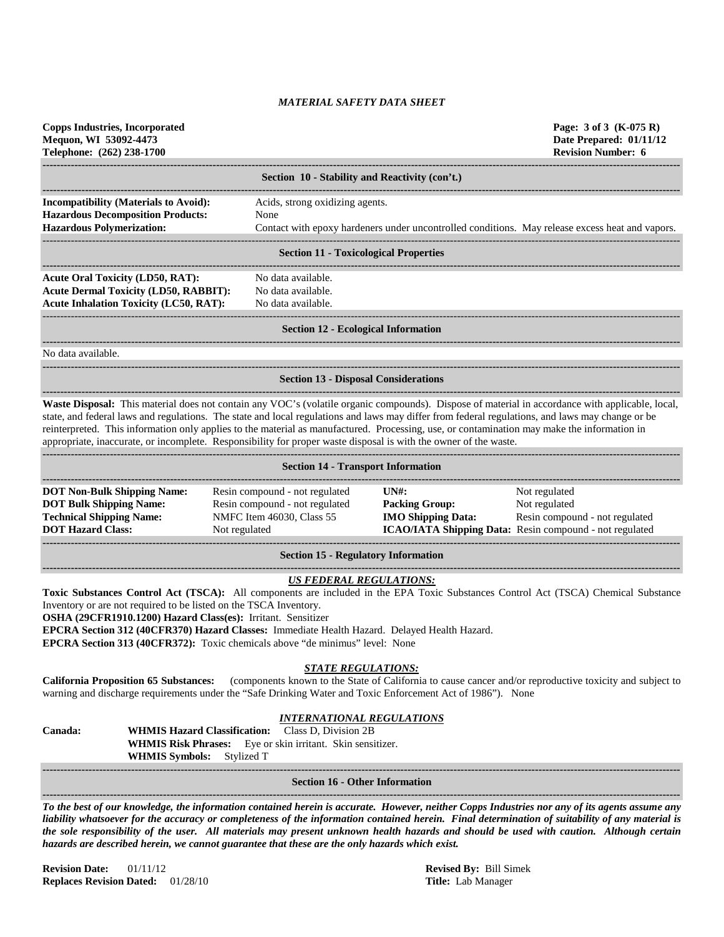**Copps Industries, Incorporated Page: 3 of 3 (K-075 R) Mequon, WI 53092-4473 Date Prepared: 01/11/12 Telephone: (262) 238-1700 Revision Number: 6**

|                                                       | Section 10 - Stability and Reactivity (con't.)                                                  |
|-------------------------------------------------------|-------------------------------------------------------------------------------------------------|
|                                                       |                                                                                                 |
| <b>Incompatibility (Materials to Avoid):</b>          | Acids, strong oxidizing agents.                                                                 |
| <b>Hazardous Decomposition Products:</b>              | None                                                                                            |
| <b>Hazardous Polymerization:</b>                      | Contact with epoxy hardeners under uncontrolled conditions. May release excess heat and vapors. |
|                                                       |                                                                                                 |
|                                                       | <b>Section 11 - Toxicological Properties</b>                                                    |
| <b>Acute Oral Toxicity (LD50, RAT):</b>               | No data available.                                                                              |
| <b>Acute Dermal Toxicity (LD50, RABBIT):</b>          | No data available.                                                                              |
| <b>Acute Inhalation Toxicity (LC50, RAT):</b>         | No data available.                                                                              |
|                                                       |                                                                                                 |
|                                                       | <b>Section 12 - Ecological Information</b>                                                      |
| $\mathbf{M} = \mathbf{1}$ , $\mathbf{M} = \mathbf{1}$ |                                                                                                 |

No data available.

#### **------------------------------------------------------------------------------------------------------------------------------------------------------------------------------------ Section 13 - Disposal Considerations**

**------------------------------------------------------------------------------------------------------------------------------------------------------------------------------------ Waste Disposal:** This material does not contain any VOC's (volatile organic compounds). Dispose of material in accordance with applicable, local, state, and federal laws and regulations. The state and local regulations and laws may differ from federal regulations, and laws may change or be reinterpreted. This information only applies to the material as manufactured. Processing, use, or contamination may make the information in appropriate, inaccurate, or incomplete. Responsibility for proper waste disposal is with the owner of the waste.

| <b>Section 14 - Transport Information</b>                                                                                           |                                                                                                                |                                                                                     |                                                                                                                             |  |  |
|-------------------------------------------------------------------------------------------------------------------------------------|----------------------------------------------------------------------------------------------------------------|-------------------------------------------------------------------------------------|-----------------------------------------------------------------------------------------------------------------------------|--|--|
| <b>DOT Non-Bulk Shipping Name:</b><br><b>DOT Bulk Shipping Name:</b><br><b>Technical Shipping Name:</b><br><b>DOT Hazard Class:</b> | Resin compound - not regulated<br>Resin compound - not regulated<br>NMFC Item 46030, Class 55<br>Not regulated | $\overline{I} \overline{N}$ :<br><b>Packing Group:</b><br><b>IMO Shipping Data:</b> | Not regulated<br>Not regulated<br>Resin compound - not regulated<br>ICAO/IATA Shipping Data: Resin compound - not regulated |  |  |

**Section 15 - Regulatory Information**

### **------------------------------------------------------------------------------------------------------------------------------------------------------------------------------------** *US FEDERAL REGULATIONS:*

**Toxic Substances Control Act (TSCA):** All components are included in the EPA Toxic Substances Control Act (TSCA) Chemical Substance Inventory or are not required to be listed on the TSCA Inventory.

**OSHA (29CFR1910.1200) Hazard Class(es):** Irritant. Sensitizer

**EPCRA Section 312 (40CFR370) Hazard Classes:** Immediate Health Hazard. Delayed Health Hazard.

**EPCRA Section 313 (40CFR372):** Toxic chemicals above "de minimus" level: None

# *STATE REGULATIONS:*

**California Proposition 65 Substances:** (components known to the State of California to cause cancer and/or reproductive toxicity and subject to warning and discharge requirements under the "Safe Drinking Water and Toxic Enforcement Act of 1986"). None

### *INTERNATIONAL REGULATIONS*

| Canada: | <b>WHMIS Hazard Classification:</b> Class D, Division 2B          |
|---------|-------------------------------------------------------------------|
|         | <b>WHMIS Risk Phrases:</b> Eye or skin irritant. Skin sensitizer. |
|         | <b>WHMIS Symbols:</b> Stylized T                                  |
|         |                                                                   |
|         |                                                                   |

# **Section 16 - Other Information**

**------------------------------------------------------------------------------------------------------------------------------------------------------------------------------------** *To the best of our knowledge, the information contained herein is accurate. However, neither Copps Industries nor any of its agents assume any liability whatsoever for the accuracy or completeness of the information contained herein. Final determination of suitability of any material is the sole responsibility of the user. All materials may present unknown health hazards and should be used with caution. Although certain hazards are described herein, we cannot guarantee that these are the only hazards which exist.*

**Revision Date:** 01/11/12 **Revised By:** Bill Simek **Replaces Revision Dated:** 01/28/10 **Title:** Lab Manager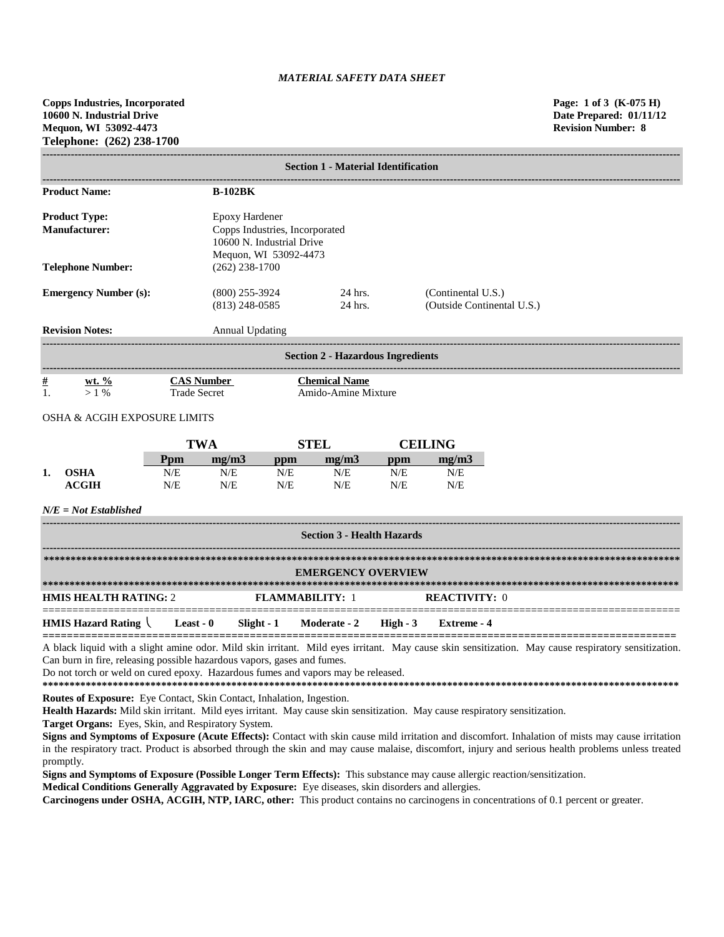**Copps Industries, Incorporated Page: 1 of 3 (K-075 H) 10600 N. Industrial Drive Date Prepared: 01/11/12 Mequon, WI 53092-4473 Revision Number: 8 Telephone: (262) 238-1700**

|                              | <b>Section 1 - Material Identification</b>   |                                                                                                        |                        |                                             |                                          |                    |                            |  |  |
|------------------------------|----------------------------------------------|--------------------------------------------------------------------------------------------------------|------------------------|---------------------------------------------|------------------------------------------|--------------------|----------------------------|--|--|
|                              | <b>Product Name:</b>                         |                                                                                                        | <b>B-102BK</b>         |                                             |                                          |                    |                            |  |  |
|                              | <b>Product Type:</b><br><b>Manufacturer:</b> | Epoxy Hardener<br>Copps Industries, Incorporated<br>10600 N. Industrial Drive<br>Mequon, WI 53092-4473 |                        |                                             |                                          |                    |                            |  |  |
|                              | <b>Telephone Number:</b>                     |                                                                                                        | $(262)$ 238-1700       |                                             |                                          |                    |                            |  |  |
| <b>Emergency Number (s):</b> |                                              | $(800)$ 255-3924<br>$(813)$ 248-0585                                                                   |                        | 24 hrs.<br>24 hrs.                          |                                          | (Continental U.S.) | (Outside Continental U.S.) |  |  |
|                              | <b>Revision Notes:</b>                       |                                                                                                        | <b>Annual Updating</b> |                                             |                                          |                    |                            |  |  |
|                              |                                              |                                                                                                        |                        |                                             | <b>Section 2 - Hazardous Ingredients</b> |                    |                            |  |  |
| $\frac{\#}{1}$               | wt. $\frac{\%}{\%}$<br>$> 1\%$               | <b>CAS Number</b><br><b>Trade Secret</b>                                                               |                        | <b>Chemical Name</b><br>Amido-Amine Mixture |                                          |                    |                            |  |  |
|                              | <b>OSHA &amp; ACGIH EXPOSURE LIMITS</b>      |                                                                                                        |                        |                                             |                                          |                    |                            |  |  |
|                              |                                              | <b>TWA</b>                                                                                             |                        | <b>STEL</b>                                 |                                          |                    | <b>CEILING</b>             |  |  |
|                              |                                              | Ppm                                                                                                    | mg/m3                  | ppm                                         | mg/m3                                    | ppm                | mg/m3                      |  |  |
| 1.                           | <b>OSHA</b><br><b>ACGIH</b>                  | N/E<br>N/E                                                                                             | N/E<br>N/E             | N/E<br>N/E                                  | N/E<br>N/E                               | N/E<br>N/E         | N/E<br>N/E                 |  |  |
|                              | $N/E = Not$ Established                      |                                                                                                        |                        |                                             |                                          |                    |                            |  |  |
|                              |                                              |                                                                                                        |                        |                                             | <b>Section 3 - Health Hazards</b>        |                    |                            |  |  |
|                              |                                              |                                                                                                        |                        |                                             | <b>EMERGENCY OVERVIEW</b>                |                    |                            |  |  |
|                              | <b>HMIS HEALTH RATING: 2</b>                 |                                                                                                        |                        | <b>FLAMMABILITY: 1</b>                      |                                          |                    | <b>REACTIVITY: 0</b>       |  |  |

**HMIS Hazard Rating Least - 0 Slight - 1 Moderate - 2 High - 3 Extreme - 4 ========================================================================================================** A black liquid with a slight amine odor. Mild skin irritant. Mild eyes irritant. May cause skin sensitization. May cause respiratory sensitization.

===========================================================================================================

Can burn in fire, releasing possible hazardous vapors, gases and fumes.

Do not torch or weld on cured epoxy. Hazardous fumes and vapors may be released.

**\*\*\*\*\*\*\*\*\*\*\*\*\*\*\*\*\*\*\*\*\*\*\*\*\*\*\*\*\*\*\*\*\*\*\*\*\*\*\*\*\*\*\*\*\*\*\*\*\*\*\*\*\*\*\*\*\*\*\*\*\*\*\*\*\*\*\*\*\*\*\*\*\*\*\*\*\*\*\*\*\*\*\*\*\*\*\*\*\*\*\*\*\*\*\*\*\*\*\*\*\*\*\*\*\*\*\*\*\*\*\*\*\*\*\*\*\*\***

**Routes of Exposure:** Eye Contact, Skin Contact, Inhalation, Ingestion.

**Health Hazards:** Mild skin irritant. Mild eyes irritant. May cause skin sensitization. May cause respiratory sensitization.

**Target Organs:** Eyes, Skin, and Respiratory System.

**Signs and Symptoms of Exposure (Acute Effects):** Contact with skin cause mild irritation and discomfort. Inhalation of mists may cause irritation in the respiratory tract. Product is absorbed through the skin and may cause malaise, discomfort, injury and serious health problems unless treated promptly.

**Signs and Symptoms of Exposure (Possible Longer Term Effects):** This substance may cause allergic reaction/sensitization.

**Medical Conditions Generally Aggravated by Exposure:** Eye diseases, skin disorders and allergies.

**Carcinogens under OSHA, ACGIH, NTP, IARC, other:** This product contains no carcinogens in concentrations of 0.1 percent or greater.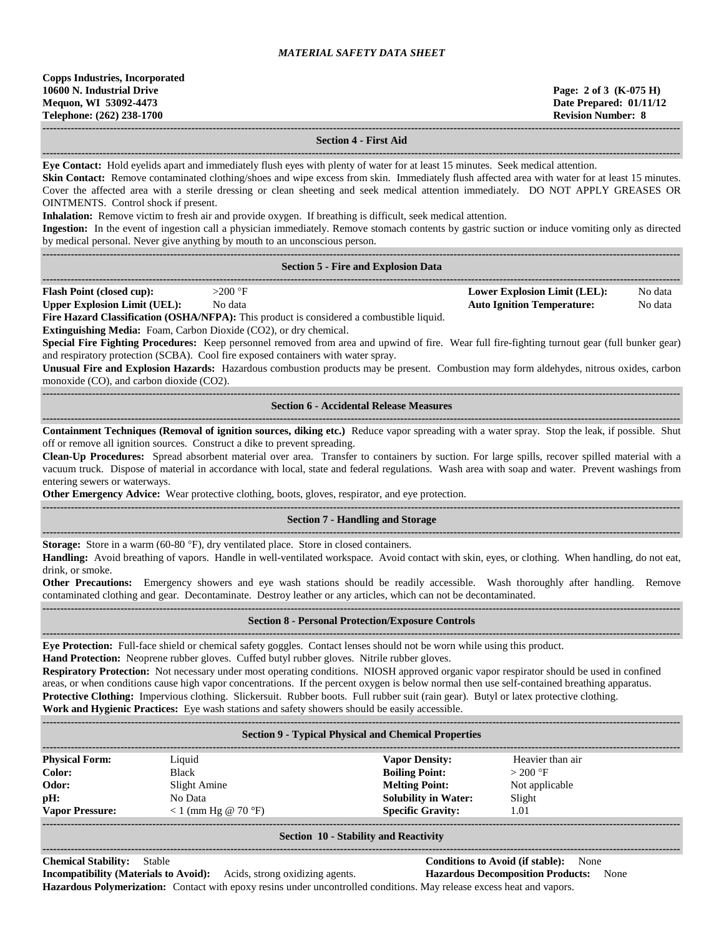**Copps Industries, Incorporated 10600 N. Industrial Drive Page: 2 of 3 (K-075 H) Mequon, WI 53092-4473 Date Prepared: 01/11/12 Telephone: (262) 238-1700 Revision Number: 8**

#### **------------------------------------------------------------------------------------------------------------------------------------------------------------------------------------ Section 4 - First Aid**

**------------------------------------------------------------------------------------------------------------------------------------------------------------------------------------ Eye Contact:** Hold eyelids apart and immediately flush eyes with plenty of water for at least 15 minutes. Seek medical attention.

**Skin Contact:** Remove contaminated clothing/shoes and wipe excess from skin. Immediately flush affected area with water for at least 15 minutes. Cover the affected area with a sterile dressing or clean sheeting and seek medical attention immediately. DO NOT APPLY GREASES OR OINTMENTS. Control shock if present.

**Inhalation:** Remove victim to fresh air and provide oxygen. If breathing is difficult, seek medical attention.

**Ingestion:** In the event of ingestion call a physician immediately. Remove stomach contents by gastric suction or induce vomiting only as directed by medical personal. Never give anything by mouth to an unconscious person.

| by medical personal. Never give anything by mouth to an unconscious person. |                                                                                                 |                                     |         |  |  |  |  |
|-----------------------------------------------------------------------------|-------------------------------------------------------------------------------------------------|-------------------------------------|---------|--|--|--|--|
|                                                                             |                                                                                                 |                                     |         |  |  |  |  |
| <b>Section 5 - Fire and Explosion Data</b>                                  |                                                                                                 |                                     |         |  |  |  |  |
| <b>Flash Point (closed cup):</b>                                            | $>200$ °F                                                                                       | <b>Lower Explosion Limit (LEL):</b> | No data |  |  |  |  |
| <b>Upper Explosion Limit (UEL):</b>                                         | No data                                                                                         | <b>Auto Ignition Temperature:</b>   | No data |  |  |  |  |
|                                                                             | <b>Fire Hazard Classification (OSHA/NFPA):</b> This product is considered a combustible liquid. |                                     |         |  |  |  |  |
|                                                                             |                                                                                                 |                                     |         |  |  |  |  |

**Extinguishing Media:** Foam, Carbon Dioxide (CO2), or dry chemical.

**Special Fire Fighting Procedures:** Keep personnel removed from area and upwind of fire. Wear full fire-fighting turnout gear (full bunker gear) and respiratory protection (SCBA). Cool fire exposed containers with water spray.

**Unusual Fire and Explosion Hazards:** Hazardous combustion products may be present. Combustion may form aldehydes, nitrous oxides, carbon monoxide (CO), and carbon dioxide (CO2).

**------------------------------------------------------------------------------------------------------------------------------------------------------------------------------------ Section 6 - Accidental Release Measures**

**------------------------------------------------------------------------------------------------------------------------------------------------------------------------------------ Containment Techniques (Removal of ignition sources, diking etc.)** Reduce vapor spreading with a water spray. Stop the leak, if possible. Shut off or remove all ignition sources. Construct a dike to prevent spreading.

**Clean-Up Procedures:** Spread absorbent material over area. Transfer to containers by suction. For large spills, recover spilled material with a vacuum truck. Dispose of material in accordance with local, state and federal regulations. Wash area with soap and water. Prevent washings from entering sewers or waterways.

**Other Emergency Advice:** Wear protective clothing, boots, gloves, respirator, and eye protection. **------------------------------------------------------------------------------------------------------------------------------------------------------------------------------------**

# **Section 7 - Handling and Storage**

**------------------------------------------------------------------------------------------------------------------------------------------------------------------------------------ Storage:** Store in a warm (60-80 °F), dry ventilated place. Store in closed containers.

**Handling:** Avoid breathing of vapors. Handle in well-ventilated workspace. Avoid contact with skin, eyes, or clothing. When handling, do not eat, drink, or smoke.

**Other Precautions:** Emergency showers and eye wash stations should be readily accessible. Wash thoroughly after handling. Remove contaminated clothing and gear. Decontaminate. Destroy leather or any articles, which can not be decontaminated. **------------------------------------------------------------------------------------------------------------------------------------------------------------------------------------**

# **Section 8 - Personal Protection/Exposure Controls ------------------------------------------------------------------------------------------------------------------------------------------------------------------------------------**

**Eye Protection:** Full-face shield or chemical safety goggles. Contact lenses should not be worn while using this product. **Hand Protection:** Neoprene rubber gloves. Cuffed butyl rubber gloves. Nitrile rubber gloves.

**Respiratory Protection:** Not necessary under most operating conditions. NIOSH approved organic vapor respirator should be used in confined areas, or when conditions cause high vapor concentrations. If the percent oxygen is below normal then use self-contained breathing apparatus. **Protective Clothing:** Impervious clothing. Slickersuit. Rubber boots. Full rubber suit (rain gear). Butyl or latex protective clothing. **Work and Hygienic Practices:** Eye wash stations and safety showers should be easily accessible.

| <b>Section 9 - Typical Physical and Chemical Properties</b> |                       |                             |                  |  |  |
|-------------------------------------------------------------|-----------------------|-----------------------------|------------------|--|--|
| <b>Physical Form:</b>                                       | Liquid                | <b>Vapor Density:</b>       | Heavier than air |  |  |
| Color:                                                      | <b>Black</b>          | <b>Boiling Point:</b>       | $>200$ °F        |  |  |
| Odor:                                                       | Slight Amine          | <b>Melting Point:</b>       | Not applicable   |  |  |
| pH:                                                         | No Data               | <b>Solubility in Water:</b> | Slight           |  |  |
| <b>Vapor Pressure:</b>                                      | $< 1$ (mm Hg @ 70 °F) | <b>Specific Gravity:</b>    | 1.01             |  |  |
|                                                             |                       |                             |                  |  |  |

#### **Section 10 - Stability and Reactivity ------------------------------------------------------------------------------------------------------------------------------------------------------------------------------------**

**Chemical Stability:** Stable **Conditions to Avoid (if stable):** None **Incompatibility (Materials to Avoid):** Acids, strong oxidizing agents. **Hazardous Decomposition Products:** None

**Hazardous Polymerization:** Contact with epoxy resins under uncontrolled conditions. May release excess heat and vapors.